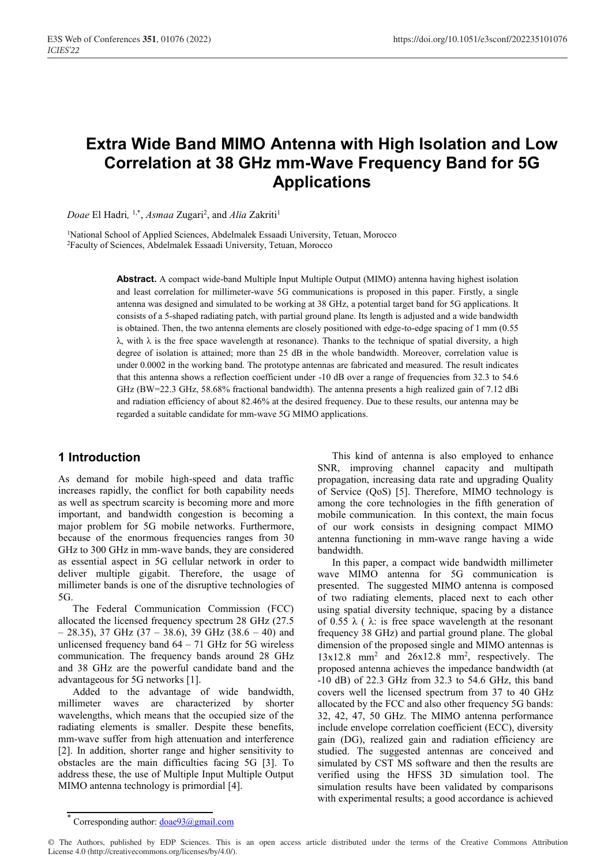# **Extra Wide Band MIMO Antenna with High Isolation and Low Correlation at 38 GHz mm-Wave Frequency Band for 5G Applications**

Doae El Hadri, <sup>1,\*</sup>, *Asmaa* Zugari<sup>2</sup>, and *Alia* Zakriti<sup>1</sup>

<sup>1</sup>National School of Applied Sciences, Abdelmalek Essaadi University, Tetuan, Morocco 2Faculty of Sciences, Abdelmalek Essaadi University, Tetuan, Morocco

> **Abstract.** A compact wide-band Multiple Input Multiple Output (MIMO) antenna having highest isolation and least correlation for millimeter-wave 5G communications is proposed in this paper. Firstly, a single antenna was designed and simulated to be working at 38 GHz, a potential target band for 5G applications. It consists of a 5-shaped radiating patch, with partial ground plane. Its length is adjusted and a wide bandwidth is obtained. Then, the two antenna elements are closely positioned with edge-to-edge spacing of 1 mm (0.55 λ, with λ is the free space wavelength at resonance). Thanks to the technique of spatial diversity, a high degree of isolation is attained; more than 25 dB in the whole bandwidth. Moreover, correlation value is under 0.0002 in the working band. The prototype antennas are fabricated and measured. The result indicates that this antenna shows a reflection coefficient under -10 dB over a range of frequencies from 32.3 to 54.6 GHz (BW=22.3 GHz, 58.68% fractional bandwidth). The antenna presents a high realized gain of 7.12 dBi and radiation efficiency of about 82.46% at the desired frequency. Due to these results, our antenna may be regarded a suitable candidate for mm-wave 5G MIMO applications.

### **1 Introduction**

As demand for mobile high-speed and data traffic increases rapidly, the conflict for both capability needs as well as spectrum scarcity is becoming more and more important, and bandwidth congestion is becoming a major problem for 5G mobile networks. Furthermore, because of the enormous frequencies ranges from 30 GHz to 300 GHz in mm-wave bands, they are considered as essential aspect in 5G cellular network in order to deliver multiple gigabit. Therefore, the usage of millimeter bands is one of the disruptive technologies of 5G.

The Federal Communication Commission (FCC) allocated the licensed frequency spectrum 28 GHz (27.5  $-$  28.35), 37 GHz (37 – 38.6), 39 GHz (38.6 – 40) and unlicensed frequency band  $64 - 71$  GHz for 5G wireless communication. The frequency bands around 28 GHz and 38 GHz are the powerful candidate band and the advantageous for 5G networks [1].

Added to the advantage of wide bandwidth, millimeter waves are characterized by shorter wavelengths, which means that the occupied size of the radiating elements is smaller. Despite these benefits, mm-wave suffer from high attenuation and interference [2]. In addition, shorter range and higher sensitivity to obstacles are the main difficulties facing 5G [3]. To address these, the use of Multiple Input Multiple Output MIMO antenna technology is primordial [4].

This kind of antenna is also employed to enhance SNR, improving channel capacity and multipath propagation, increasing data rate and upgrading Quality of Service (QoS) [5]. Therefore, MIMO technology is among the core technologies in the fifth generation of mobile communication. In this context, the main focus of our work consists in designing compact MIMO antenna functioning in mm-wave range having a wide bandwidth.

In this paper, a compact wide bandwidth millimeter wave MIMO antenna for 5G communication is presented. The suggested MIMO antenna is composed of two radiating elements, placed next to each other using spatial diversity technique, spacing by a distance of 0.55  $\lambda$  ( $\lambda$ : is free space wavelength at the resonant frequency 38 GHz) and partial ground plane. The global dimension of the proposed single and MIMO antennas is 13x12.8 mm2 and 26x12.8 mm2 , respectively. The proposed antenna achieves the impedance bandwidth (at -10 dB) of 22.3 GHz from 32.3 to 54.6 GHz, this band covers well the licensed spectrum from 37 to 40 GHz allocated by the FCC and also other frequency 5G bands: 32, 42, 47, 50 GHz. The MIMO antenna performance include envelope correlation coefficient (ECC), diversity gain (DG), realized gain and radiation efficiency are studied. The suggested antennas are conceived and simulated by CST MS software and then the results are verified using the HFSS 3D simulation tool. The simulation results have been validated by comparisons with experimental results; a good accordance is achieved

© The Authors, published by EDP Sciences. This is an open access article distributed under the terms of the Creative Commons Attribution License 4.0 (http://creativecommons.org/licenses/by/4.0/).

Corresponding author: doae93@gmail.com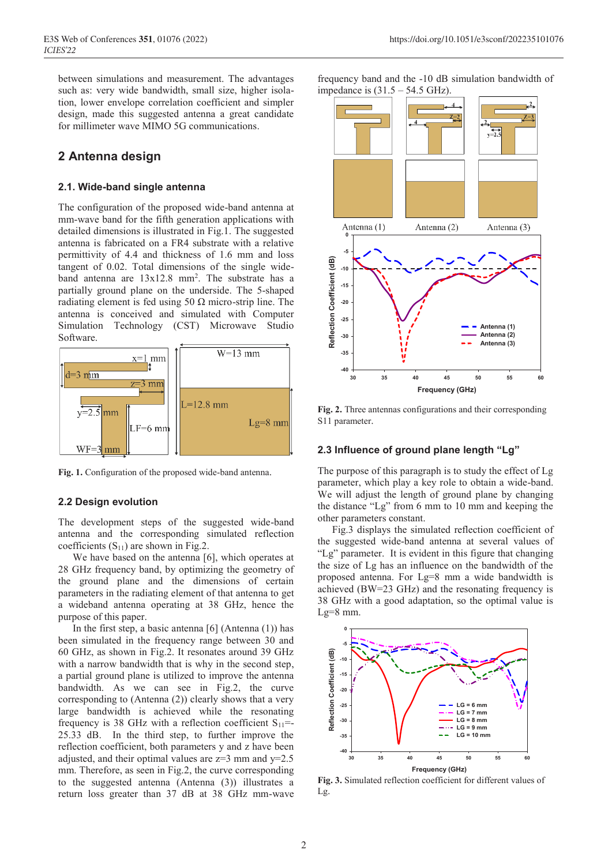between simulations and measurement. The advantages such as: very wide bandwidth, small size, higher isolation, lower envelope correlation coefficient and simpler design, made this suggested antenna a great candidate for millimeter wave MIMO 5G communications.

### **2 Antenna design**

#### **2.1. Wide-band single antenna**

The configuration of the proposed wide-band antenna at mm-wave band for the fifth generation applications with detailed dimensions is illustrated in Fig.1. The suggested antenna is fabricated on a FR4 substrate with a relative permittivity of 4.4 and thickness of 1.6 mm and loss tangent of 0.02. Total dimensions of the single wideband antenna are  $13x12.8$  mm<sup>2</sup>. The substrate has a partially ground plane on the underside. The 5-shaped radiating element is fed using 50  $\Omega$  micro-strip line. The antenna is conceived and simulated with Computer Simulation Technology (CST) Microwave Studio Software.



**Fig. 1.** Configuration of the proposed wide-band antenna.

#### **2.2 Design evolution**

The development steps of the suggested wide-band antenna and the corresponding simulated reflection coefficients  $(S_{11})$  are shown in Fig.2.

We have based on the antenna [6], which operates at 28 GHz frequency band, by optimizing the geometry of the ground plane and the dimensions of certain parameters in the radiating element of that antenna to get a wideband antenna operating at 38 GHz, hence the purpose of this paper.

In the first step, a basic antenna [6] (Antenna (1)) has been simulated in the frequency range between 30 and 60 GHz, as shown in Fig.2. It resonates around 39 GHz with a narrow bandwidth that is why in the second step, a partial ground plane is utilized to improve the antenna bandwidth. As we can see in Fig.2, the curve corresponding to (Antenna (2)) clearly shows that a very large bandwidth is achieved while the resonating frequency is 38 GHz with a reflection coefficient  $S_{11}$ =-25.33 dB. In the third step, to further improve the reflection coefficient, both parameters y and z have been adjusted, and their optimal values are  $z=3$  mm and  $y=2.5$ mm. Therefore, as seen in Fig.2, the curve corresponding to the suggested antenna (Antenna (3)) illustrates a return loss greater than 37 dB at 38 GHz mm-wave

frequency band and the -10 dB simulation bandwidth of impedance is  $(31.5 - 54.5 \text{ GHz})$ .



**Fig. 2.** Three antennas configurations and their corresponding S11 parameter.

#### **2.3 Influence of ground plane length "Lg"**

The purpose of this paragraph is to study the effect of Lg parameter, which play a key role to obtain a wide-band. We will adjust the length of ground plane by changing the distance "Lg" from 6 mm to 10 mm and keeping the other parameters constant.

Fig.3 displays the simulated reflection coefficient of the suggested wide-band antenna at several values of "Lg" parameter. It is evident in this figure that changing the size of Lg has an influence on the bandwidth of the proposed antenna. For Lg=8 mm a wide bandwidth is achieved (BW=23 GHz) and the resonating frequency is 38 GHz with a good adaptation, so the optimal value is  $Lg=8$  mm.



**Fig. 3.** Simulated reflection coefficient for different values of Lg.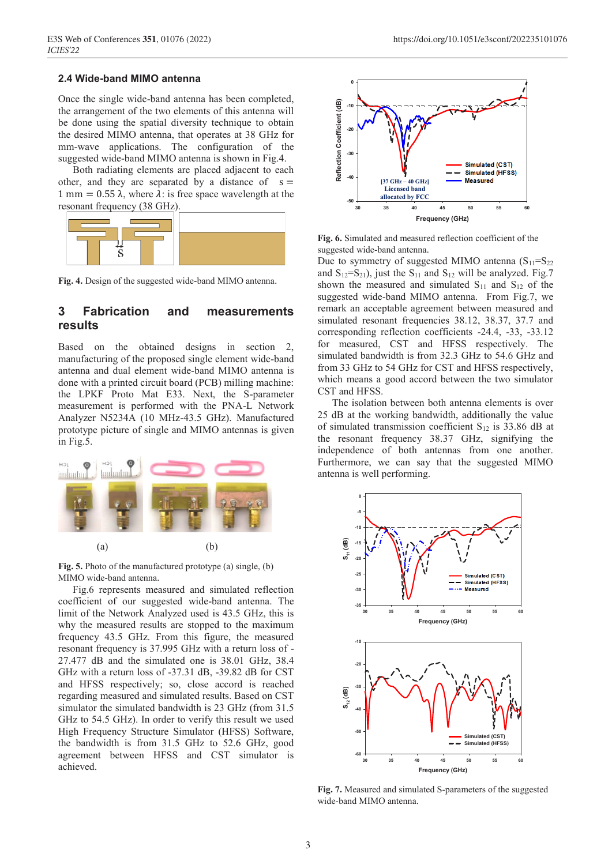#### **2.4 Wide-band MIMO antenna**

Once the single wide-band antenna has been completed, the arrangement of the two elements of this antenna will be done using the spatial diversity technique to obtain the desired MIMO antenna, that operates at 38 GHz for mm-wave applications. The configuration of the suggested wide-band MIMO antenna is shown in Fig.4.

Both radiating elements are placed adjacent to each other, and they are separated by a distance of  $s =$ 1 mm = 0.55  $\lambda$ , where  $\lambda$ : is free space wavelength at the resonant frequency (38 GHz).



**Fig. 4.** Design of the suggested wide-band MIMO antenna.

### **3 Fabrication and measurements results**

Based on the obtained designs in section 2, manufacturing of the proposed single element wide-band antenna and dual element wide-band MIMO antenna is done with a printed circuit board (PCB) milling machine: the LPKF Proto Mat E33. Next, the S-parameter measurement is performed with the PNA-L Network Analyzer N5234A (10 MHz-43.5 GHz). Manufactured prototype picture of single and MIMO antennas is given in Fig.5.



**Fig. 5.** Photo of the manufactured prototype (a) single, (b) MIMO wide-band antenna.

Fig.6 represents measured and simulated reflection coefficient of our suggested wide-band antenna. The limit of the Network Analyzed used is 43.5 GHz, this is why the measured results are stopped to the maximum frequency 43.5 GHz. From this figure, the measured resonant frequency is 37.995 GHz with a return loss of - 27.477 dB and the simulated one is 38.01 GHz, 38.4 GHz with a return loss of -37.31 dB, -39.82 dB for CST and HFSS respectively; so, close accord is reached regarding measured and simulated results. Based on CST simulator the simulated bandwidth is 23 GHz (from 31.5) GHz to 54.5 GHz). In order to verify this result we used High Frequency Structure Simulator (HFSS) Software, the bandwidth is from 31.5 GHz to 52.6 GHz, good agreement between HFSS and CST simulator is achieved.



**Fig. 6.** Simulated and measured reflection coefficient of the suggested wide-band antenna.

Due to symmetry of suggested MIMO antenna  $(S_{11}=S_{22})$ and  $S_{12}=S_{21}$ , just the  $S_{11}$  and  $S_{12}$  will be analyzed. Fig.7 shown the measured and simulated  $S_{11}$  and  $S_{12}$  of the suggested wide-band MIMO antenna. From Fig.7, we remark an acceptable agreement between measured and simulated resonant frequencies 38.12, 38.37, 37.7 and corresponding reflection coefficients -24.4, -33, -33.12 for measured, CST and HFSS respectively. The simulated bandwidth is from 32.3 GHz to 54.6 GHz and from 33 GHz to 54 GHz for CST and HFSS respectively, which means a good accord between the two simulator CST and HFSS.

The isolation between both antenna elements is over 25 dB at the working bandwidth, additionally the value of simulated transmission coefficient  $S_{12}$  is 33.86 dB at the resonant frequency 38.37 GHz, signifying the independence of both antennas from one another. Furthermore, we can say that the suggested MIMO antenna is well performing.



**Fig. 7.** Measured and simulated S-parameters of the suggested wide-band MIMO antenna.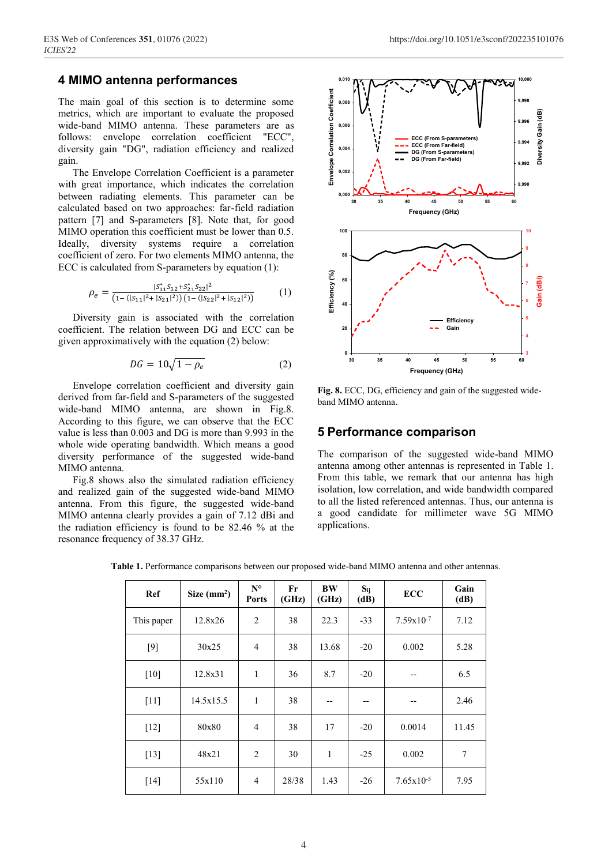### **4 MIMO antenna performances**

The main goal of this section is to determine some metrics, which are important to evaluate the proposed wide-band MIMO antenna. These parameters are as follows: envelope correlation coefficient "ECC", diversity gain "DG", radiation efficiency and realized gain.

The Envelope Correlation Coefficient is a parameter with great importance, which indicates the correlation between radiating elements. This parameter can be calculated based on two approaches: far-field radiation pattern [7] and S-parameters [8]. Note that, for good MIMO operation this coefficient must be lower than 0.5. Ideally, diversity systems require a correlation coefficient of zero. For two elements MIMO antenna, the ECC is calculated from S-parameters by equation (1):

$$
\rho_e = \frac{|S_{11}^* S_{12} + S_{21}^* S_{22}|^2}{(1 - (|S_{11}|^2 + |S_{21}|^2)) (1 - (|S_{22}|^2 + |S_{12}|^2))}
$$
(1)

Diversity gain is associated with the correlation coefficient. The relation between DG and ECC can be given approximatively with the equation (2) below:

$$
DG = 10\sqrt{1 - \rho_e} \tag{2}
$$

Envelope correlation coefficient and diversity gain derived from far-field and S-parameters of the suggested wide-band MIMO antenna, are shown in Fig.8. According to this figure, we can observe that the ECC value is less than 0.003 and DG is more than 9.993 in the whole wide operating bandwidth. Which means a good diversity performance of the suggested wide-band MIMO antenna.

Fig.8 shows also the simulated radiation efficiency and realized gain of the suggested wide-band MIMO antenna. From this figure, the suggested wide-band MIMO antenna clearly provides a gain of 7.12 dBi and the radiation efficiency is found to be 82.46 % at the resonance frequency of 38.37 GHz.



**Fig. 8.** ECC, DG, efficiency and gain of the suggested wideband MIMO antenna.

### **5 Performance comparison**

The comparison of the suggested wide-band MIMO antenna among other antennas is represented in Table 1. From this table, we remark that our antenna has high isolation, low correlation, and wide bandwidth compared to all the listed referenced antennas. Thus, our antenna is a good candidate for millimeter wave 5G MIMO applications.

**Table 1.** Performance comparisons between our proposed wide-band MIMO antenna and other antennas.

| Ref        | Size $(mm2)$ | $N^{\circ}$<br><b>Ports</b> | Fr<br>(GHz) | <b>BW</b><br>(GHz) | $S_{ij}$<br>(dB) | <b>ECC</b>     | Gain<br>(dB) |
|------------|--------------|-----------------------------|-------------|--------------------|------------------|----------------|--------------|
| This paper | 12.8x26      | $\overline{2}$              | 38          | 22.3               | $-33$            | $7.59x10^{-7}$ | 7.12         |
| $[9]$      | 30x25        | $\overline{4}$              | 38          | 13.68              | $-20$            | 0.002          | 5.28         |
| $[10]$     | 12.8x31      | $\mathbf{1}$                | 36          | 8.7                | $-20$            | --             | 6.5          |
| $[11]$     | 14.5x15.5    | 1                           | 38          | --                 | --               | --             | 2.46         |
| $[12]$     | 80x80        | $\overline{4}$              | 38          | 17                 | $-20$            | 0.0014         | 11.45        |
| $[13]$     | 48x21        | $\overline{2}$              | 30          | 1                  | $-25$            | 0.002          | 7            |
| $[14]$     | 55x110       | 4                           | 28/38       | 1.43               | $-26$            | $7.65x10^{-5}$ | 7.95         |